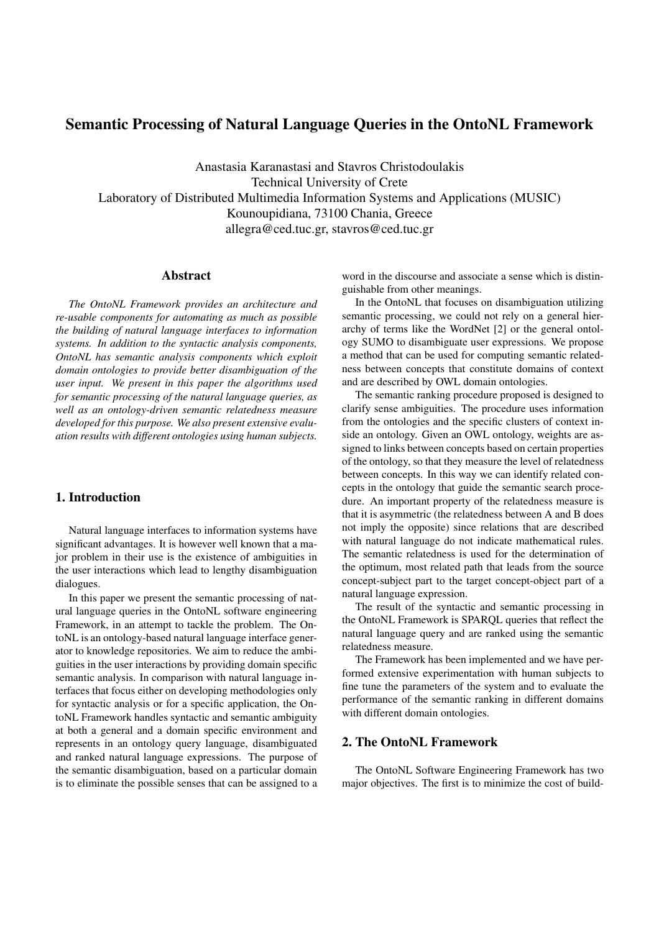# **Semantic Processing of Natural Language Queries in the OntoNL Framework**

Anastasia Karanastasi and Stavros Christodoulakis Technical University of Crete Laboratory of Distributed Multimedia Information Systems and Applications (MUSIC) Kounoupidiana, 73100 Chania, Greece allegra@ced.tuc.gr, stavros@ced.tuc.gr

## **Abstract**

*The OntoNL Framework provides an architecture and re-usable components for automating as much as possible the building of natural language interfaces to information systems. In addition to the syntactic analysis components, OntoNL has semantic analysis components which exploit domain ontologies to provide better disambiguation of the user input. We present in this paper the algorithms used for semantic processing of the natural language queries, as well as an ontology-driven semantic relatedness measure developed for this purpose. We also present extensive evaluation results with different ontologies using human subjects.*

## **1. Introduction**

Natural language interfaces to information systems have significant advantages. It is however well known that a major problem in their use is the existence of ambiguities in the user interactions which lead to lengthy disambiguation dialogues.

In this paper we present the semantic processing of natural language queries in the OntoNL software engineering Framework, in an attempt to tackle the problem. The OntoNL is an ontology-based natural language interface generator to knowledge repositories. We aim to reduce the ambiguities in the user interactions by providing domain specific semantic analysis. In comparison with natural language interfaces that focus either on developing methodologies only for syntactic analysis or for a specific application, the OntoNL Framework handles syntactic and semantic ambiguity at both a general and a domain specific environment and represents in an ontology query language, disambiguated and ranked natural language expressions. The purpose of the semantic disambiguation, based on a particular domain is to eliminate the possible senses that can be assigned to a word in the discourse and associate a sense which is distinguishable from other meanings.

In the OntoNL that focuses on disambiguation utilizing semantic processing, we could not rely on a general hierarchy of terms like the WordNet [2] or the general ontology SUMO to disambiguate user expressions. We propose a method that can be used for computing semantic relatedness between concepts that constitute domains of context and are described by OWL domain ontologies.

The semantic ranking procedure proposed is designed to clarify sense ambiguities. The procedure uses information from the ontologies and the specific clusters of context inside an ontology. Given an OWL ontology, weights are assigned to links between concepts based on certain properties of the ontology, so that they measure the level of relatedness between concepts. In this way we can identify related concepts in the ontology that guide the semantic search procedure. An important property of the relatedness measure is that it is asymmetric (the relatedness between A and B does not imply the opposite) since relations that are described with natural language do not indicate mathematical rules. The semantic relatedness is used for the determination of the optimum, most related path that leads from the source concept-subject part to the target concept-object part of a natural language expression.

The result of the syntactic and semantic processing in the OntoNL Framework is SPARQL queries that reflect the natural language query and are ranked using the semantic relatedness measure.

The Framework has been implemented and we have performed extensive experimentation with human subjects to fine tune the parameters of the system and to evaluate the performance of the semantic ranking in different domains with different domain ontologies.

## **2. The OntoNL Framework**

The OntoNL Software Engineering Framework has two major objectives. The first is to minimize the cost of build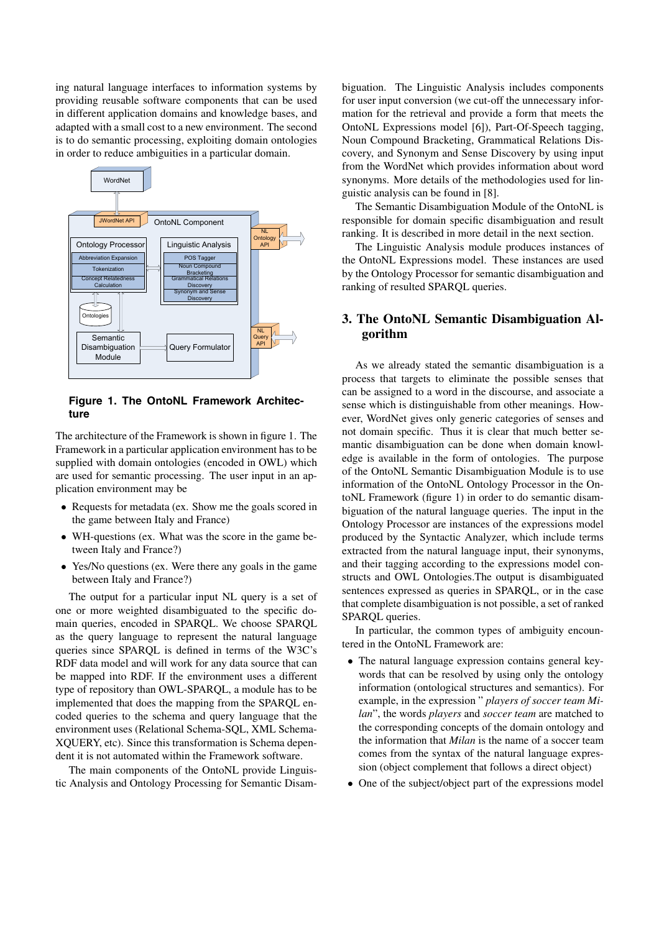ing natural language interfaces to information systems by providing reusable software components that can be used in different application domains and knowledge bases, and adapted with a small cost to a new environment. The second is to do semantic processing, exploiting domain ontologies in order to reduce ambiguities in a particular domain.



**Figure 1. The OntoNL Framework Architecture**

The architecture of the Framework is shown in figure 1. The Framework in a particular application environment has to be supplied with domain ontologies (encoded in OWL) which are used for semantic processing. The user input in an application environment may be

- Requests for metadata (ex. Show me the goals scored in the game between Italy and France)
- WH-questions (ex. What was the score in the game between Italy and France?)
- Yes/No questions (ex. Were there any goals in the game between Italy and France?)

The output for a particular input NL query is a set of one or more weighted disambiguated to the specific domain queries, encoded in SPARQL. We choose SPARQL as the query language to represent the natural language queries since SPARQL is defined in terms of the W3C's RDF data model and will work for any data source that can be mapped into RDF. If the environment uses a different type of repository than OWL-SPARQL, a module has to be implemented that does the mapping from the SPARQL encoded queries to the schema and query language that the environment uses (Relational Schema-SQL, XML Schema-XQUERY, etc). Since this transformation is Schema dependent it is not automated within the Framework software.

The main components of the OntoNL provide Linguistic Analysis and Ontology Processing for Semantic Disambiguation. The Linguistic Analysis includes components for user input conversion (we cut-off the unnecessary information for the retrieval and provide a form that meets the OntoNL Expressions model [6]), Part-Of-Speech tagging, Noun Compound Bracketing, Grammatical Relations Discovery, and Synonym and Sense Discovery by using input from the WordNet which provides information about word synonyms. More details of the methodologies used for linguistic analysis can be found in [8].

The Semantic Disambiguation Module of the OntoNL is responsible for domain specific disambiguation and result ranking. It is described in more detail in the next section.

The Linguistic Analysis module produces instances of the OntoNL Expressions model. These instances are used by the Ontology Processor for semantic disambiguation and ranking of resulted SPARQL queries.

## **3. The OntoNL Semantic Disambiguation Algorithm**

As we already stated the semantic disambiguation is a process that targets to eliminate the possible senses that can be assigned to a word in the discourse, and associate a sense which is distinguishable from other meanings. However, WordNet gives only generic categories of senses and not domain specific. Thus it is clear that much better semantic disambiguation can be done when domain knowledge is available in the form of ontologies. The purpose of the OntoNL Semantic Disambiguation Module is to use information of the OntoNL Ontology Processor in the OntoNL Framework (figure 1) in order to do semantic disambiguation of the natural language queries. The input in the Ontology Processor are instances of the expressions model produced by the Syntactic Analyzer, which include terms extracted from the natural language input, their synonyms, and their tagging according to the expressions model constructs and OWL Ontologies.The output is disambiguated sentences expressed as queries in SPARQL, or in the case that complete disambiguation is not possible, a set of ranked SPARQL queries.

In particular, the common types of ambiguity encountered in the OntoNL Framework are:

- The natural language expression contains general keywords that can be resolved by using only the ontology information (ontological structures and semantics). For example, in the expression " *players of soccer team Milan*", the words *players* and *soccer team* are matched to the corresponding concepts of the domain ontology and the information that *Milan* is the name of a soccer team comes from the syntax of the natural language expression (object complement that follows a direct object)
- One of the subject/object part of the expressions model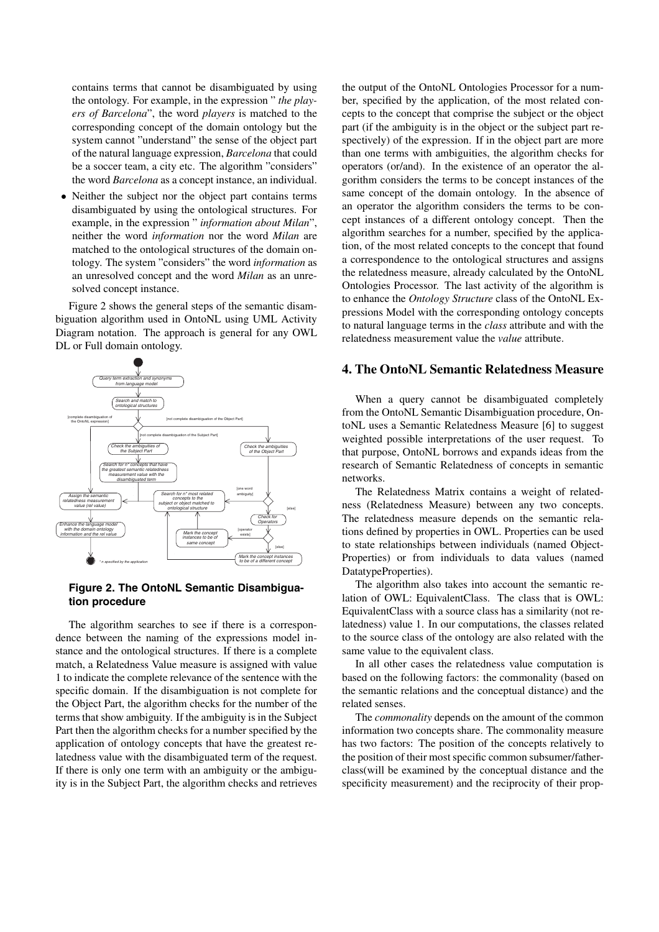contains terms that cannot be disambiguated by using the ontology. For example, in the expression " *the players of Barcelona*", the word *players* is matched to the corresponding concept of the domain ontology but the system cannot "understand" the sense of the object part of the natural language expression, *Barcelona* that could be a soccer team, a city etc. The algorithm "considers" the word *Barcelona* as a concept instance, an individual.

• Neither the subject nor the object part contains terms disambiguated by using the ontological structures. For example, in the expression " *information about Milan*", neither the word *information* nor the word *Milan* are matched to the ontological structures of the domain ontology. The system "considers" the word *information* as an unresolved concept and the word *Milan* as an unresolved concept instance.

Figure 2 shows the general steps of the semantic disambiguation algorithm used in OntoNL using UML Activity Diagram notation. The approach is general for any OWL DL or Full domain ontology.



### **Figure 2. The OntoNL Semantic Disambiguation procedure**

The algorithm searches to see if there is a correspondence between the naming of the expressions model instance and the ontological structures. If there is a complete match, a Relatedness Value measure is assigned with value 1 to indicate the complete relevance of the sentence with the specific domain. If the disambiguation is not complete for the Object Part, the algorithm checks for the number of the terms that show ambiguity. If the ambiguity is in the Subject Part then the algorithm checks for a number specified by the application of ontology concepts that have the greatest relatedness value with the disambiguated term of the request. If there is only one term with an ambiguity or the ambiguity is in the Subject Part, the algorithm checks and retrieves the output of the OntoNL Ontologies Processor for a number, specified by the application, of the most related concepts to the concept that comprise the subject or the object part (if the ambiguity is in the object or the subject part respectively) of the expression. If in the object part are more than one terms with ambiguities, the algorithm checks for operators (or/and). In the existence of an operator the algorithm considers the terms to be concept instances of the same concept of the domain ontology. In the absence of an operator the algorithm considers the terms to be concept instances of a different ontology concept. Then the algorithm searches for a number, specified by the application, of the most related concepts to the concept that found a correspondence to the ontological structures and assigns the relatedness measure, already calculated by the OntoNL Ontologies Processor. The last activity of the algorithm is to enhance the *Ontology Structure* class of the OntoNL Expressions Model with the corresponding ontology concepts to natural language terms in the *class* attribute and with the relatedness measurement value the *value* attribute.

#### **4. The OntoNL Semantic Relatedness Measure**

When a query cannot be disambiguated completely from the OntoNL Semantic Disambiguation procedure, OntoNL uses a Semantic Relatedness Measure [6] to suggest weighted possible interpretations of the user request. To that purpose, OntoNL borrows and expands ideas from the research of Semantic Relatedness of concepts in semantic networks.

The Relatedness Matrix contains a weight of relatedness (Relatedness Measure) between any two concepts. The relatedness measure depends on the semantic relations defined by properties in OWL. Properties can be used to state relationships between individuals (named Object-Properties) or from individuals to data values (named DatatypeProperties).

The algorithm also takes into account the semantic relation of OWL: EquivalentClass. The class that is OWL: EquivalentClass with a source class has a similarity (not relatedness) value 1. In our computations, the classes related to the source class of the ontology are also related with the same value to the equivalent class.

In all other cases the relatedness value computation is based on the following factors: the commonality (based on the semantic relations and the conceptual distance) and the related senses.

The *commonality* depends on the amount of the common information two concepts share. The commonality measure has two factors: The position of the concepts relatively to the position of their most specific common subsumer/fatherclass(will be examined by the conceptual distance and the specificity measurement) and the reciprocity of their prop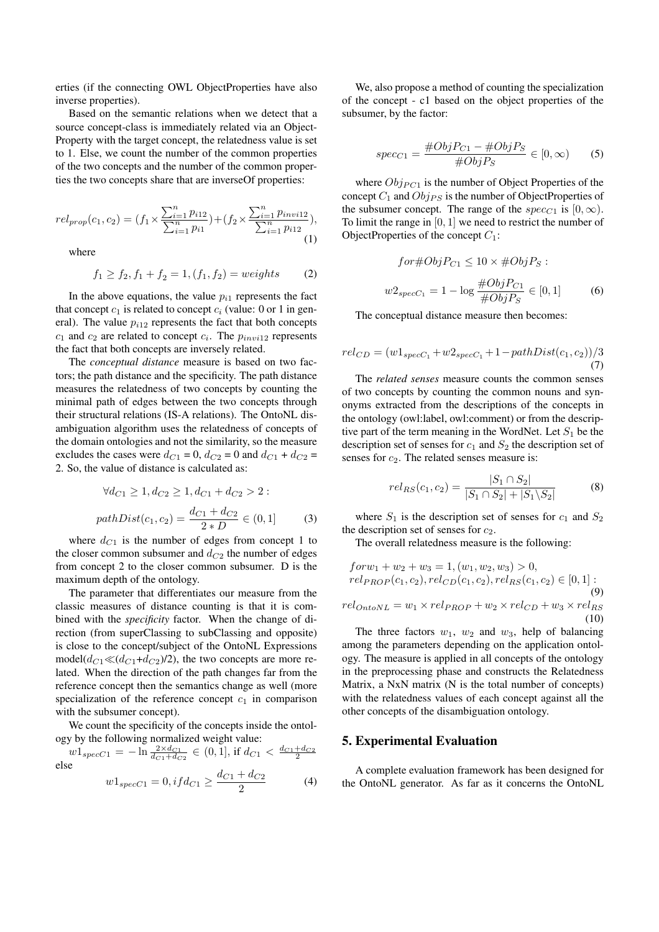erties (if the connecting OWL ObjectProperties have also inverse properties).

Based on the semantic relations when we detect that a source concept-class is immediately related via an Object-Property with the target concept, the relatedness value is set to 1. Else, we count the number of the common properties of the two concepts and the number of the common properties the two concepts share that are inverseOf properties:

$$
rel_{prop}(c_1, c_2) = (f_1 \times \frac{\sum_{i=1}^{n} p_{i12}}{\sum_{i=1}^{n} p_{i1}}) + (f_2 \times \frac{\sum_{i=1}^{n} p_{inv12}}{\sum_{i=1}^{n} p_{i12}}),
$$
\n(1)

where

$$
f_1 \ge f_2, f_1 + f_2 = 1, (f_1, f_2) = weights
$$
 (2)

In the above equations, the value  $p_{i1}$  represents the fact that concept  $c_1$  is related to concept  $c_i$  (value: 0 or 1 in general). The value  $p_{i12}$  represents the fact that both concepts  $c_1$  and  $c_2$  are related to concept  $c_i$ . The  $p_{inv12}$  represents the fact that both concepts are inversely related.

The *conceptual distance* measure is based on two factors; the path distance and the specificity. The path distance measures the relatedness of two concepts by counting the minimal path of edges between the two concepts through their structural relations (IS-A relations). The OntoNL disambiguation algorithm uses the relatedness of concepts of the domain ontologies and not the similarity, so the measure excludes the cases were  $d_{C1} = 0$ ,  $d_{C2} = 0$  and  $d_{C1} + d_{C2} = 0$ 2. So, the value of distance is calculated as:

$$
\forall d_{C1} \ge 1, d_{C2} \ge 1, d_{C1} + d_{C2} > 2:
$$
  
\n
$$
pathDist(c_1, c_2) = \frac{d_{C1} + d_{C2}}{2*D} \in (0, 1]
$$
 (3)  
\nwhere  $d_{C1}$  is the number of edges from concept 1 to

the closer common subsumer and  $d_{C2}$  the number of edges from concept 2 to the closer common subsumer. D is the maximum depth of the ontology.

The parameter that differentiates our measure from the classic measures of distance counting is that it is combined with the *specificity* factor. When the change of direction (from superClassing to subClassing and opposite) is close to the concept/subject of the OntoNL Expressions model $(d_{C1} \ll (d_{C1} + d_{C2})/2)$ , the two concepts are more related. When the direction of the path changes far from the reference concept then the semantics change as well (more specialization of the reference concept  $c_1$  in comparison with the subsumer concept).

We count the specificity of the concepts inside the ontology by the following normalized weight value:

$$
w1_{specC1} = -\ln \frac{2 \times d_{C1}}{d_{C1} + d_{C2}} \in (0, 1], \text{ if } d_{C1} < \frac{d_{C1} + d_{C2}}{2}
$$
\nelse

$$
w1_{specC1} = 0, if d_{C1} \ge \frac{d_{C1} + d_{C2}}{2} \tag{4}
$$

We, also propose a method of counting the specialization of the concept - c1 based on the object properties of the subsumer, by the factor:

$$
spec_{C1} = \frac{\#ObjP_{C1} - \#ObjP_S}{\#ObjP_S} \in [0, \infty)
$$
 (5)

where  $Obj<sub>PC1</sub>$  is the number of Object Properties of the concept  $C_1$  and  $Obj_{PS}$  is the number of ObjectProperties of the subsumer concept. The range of the  $spec_{C1}$  is  $[0, \infty)$ . To limit the range in [0*,* 1] we need to restrict the number of ObjectProperties of the concept *C*1:

$$
for \#ObjP_{C1} \le 10 \times \#ObjP_S :
$$
  

$$
w2_{specC_1} = 1 - \log \frac{\#ObjP_{C1}}{\#ObjP_S} \in [0, 1]
$$
 (6)

The conceptual distance measure then becomes:

$$
rel_{CD} = (w1_{specC_1} + w2_{specC_1} + 1 - pathDist(c_1, c_2))/3
$$
\n(7)

The *related senses* measure counts the common senses of two concepts by counting the common nouns and synonyms extracted from the descriptions of the concepts in the ontology (owl:label, owl:comment) or from the descriptive part of the term meaning in the WordNet. Let  $S_1$  be the description set of senses for  $c_1$  and  $S_2$  the description set of senses for  $c_2$ . The related senses measure is:

$$
rel_{RS}(c_1, c_2) = \frac{|S_1 \cap S_2|}{|S_1 \cap S_2| + |S_1 \backslash S_2|}
$$
(8)

where  $S_1$  is the description set of senses for  $c_1$  and  $S_2$ the description set of senses for *c*2.

The overall relatedness measure is the following:

$$
for w_1 + w_2 + w_3 = 1, (w_1, w_2, w_3) > 0,\nrel_{PROP}(c_1, c_2), rel_{CD}(c_1, c_2), rel_{RS}(c_1, c_2) \in [0, 1]:\nrel_{OntoNL} = w_1 \times rel_{PROP} + w_2 \times rel_{CD} + w_3 \times rel_{RS}
$$
\n(10)

The three factors  $w_1$ ,  $w_2$  and  $w_3$ , help of balancing among the parameters depending on the application ontology. The measure is applied in all concepts of the ontology in the preprocessing phase and constructs the Relatedness Matrix, a NxN matrix (N is the total number of concepts) with the relatedness values of each concept against all the other concepts of the disambiguation ontology.

#### **5. Experimental Evaluation**

A complete evaluation framework has been designed for the OntoNL generator. As far as it concerns the OntoNL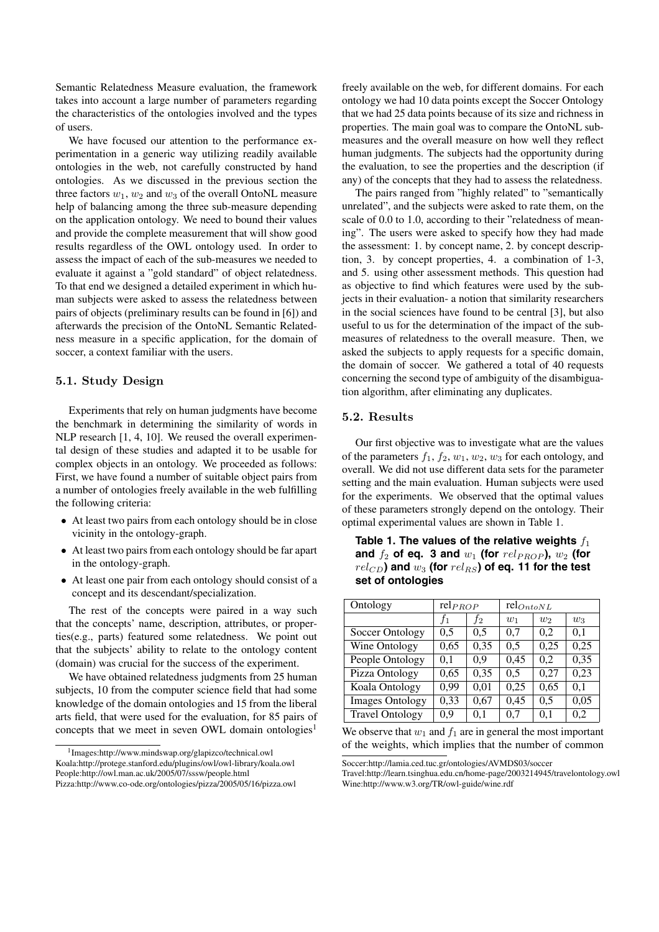Semantic Relatedness Measure evaluation, the framework takes into account a large number of parameters regarding the characteristics of the ontologies involved and the types of users.

We have focused our attention to the performance experimentation in a generic way utilizing readily available ontologies in the web, not carefully constructed by hand ontologies. As we discussed in the previous section the three factors  $w_1$ ,  $w_2$  and  $w_3$  of the overall OntoNL measure help of balancing among the three sub-measure depending on the application ontology. We need to bound their values and provide the complete measurement that will show good results regardless of the OWL ontology used. In order to assess the impact of each of the sub-measures we needed to evaluate it against a "gold standard" of object relatedness. To that end we designed a detailed experiment in which human subjects were asked to assess the relatedness between pairs of objects (preliminary results can be found in [6]) and afterwards the precision of the OntoNL Semantic Relatedness measure in a specific application, for the domain of soccer, a context familiar with the users.

#### **5.1. Study Design**

Experiments that rely on human judgments have become the benchmark in determining the similarity of words in NLP research [1, 4, 10]. We reused the overall experimental design of these studies and adapted it to be usable for complex objects in an ontology. We proceeded as follows: First, we have found a number of suitable object pairs from a number of ontologies freely available in the web fulfilling the following criteria:

- At least two pairs from each ontology should be in close vicinity in the ontology-graph.
- At least two pairs from each ontology should be far apart in the ontology-graph.
- At least one pair from each ontology should consist of a concept and its descendant/specialization.

The rest of the concepts were paired in a way such that the concepts' name, description, attributes, or properties(e.g., parts) featured some relatedness. We point out that the subjects' ability to relate to the ontology content (domain) was crucial for the success of the experiment.

We have obtained relatedness judgments from 25 human subjects, 10 from the computer science field that had some knowledge of the domain ontologies and 15 from the liberal arts field, that were used for the evaluation, for 85 pairs of concepts that we meet in seven OWL domain ontologies<sup>1</sup>

freely available on the web, for different domains. For each ontology we had 10 data points except the Soccer Ontology that we had 25 data points because of its size and richness in properties. The main goal was to compare the OntoNL submeasures and the overall measure on how well they reflect human judgments. The subjects had the opportunity during the evaluation, to see the properties and the description (if any) of the concepts that they had to assess the relatedness.

The pairs ranged from "highly related" to "semantically unrelated", and the subjects were asked to rate them, on the scale of 0.0 to 1.0, according to their "relatedness of meaning". The users were asked to specify how they had made the assessment: 1. by concept name, 2. by concept description, 3. by concept properties, 4. a combination of 1-3, and 5. using other assessment methods. This question had as objective to find which features were used by the subjects in their evaluation- a notion that similarity researchers in the social sciences have found to be central [3], but also useful to us for the determination of the impact of the submeasures of relatedness to the overall measure. Then, we asked the subjects to apply requests for a specific domain, the domain of soccer. We gathered a total of 40 requests concerning the second type of ambiguity of the disambiguation algorithm, after eliminating any duplicates.

## **5.2. Results**

Our first objective was to investigate what are the values of the parameters  $f_1$ ,  $f_2$ ,  $w_1$ ,  $w_2$ ,  $w_3$  for each ontology, and overall. We did not use different data sets for the parameter setting and the main evaluation. Human subjects were used for the experiments. We observed that the optimal values of these parameters strongly depend on the ontology. Their optimal experimental values are shown in Table 1.

**Table 1. The values of the relative weights**  $f_1$ and  $f_2$  of eq. 3 and  $w_1$  (for  $rel_{PROP}$ ),  $w_2$  (for  $rel_{CD}$ ) and  $w_3$  (for  $rel_{BS}$ ) of eq. 11 for the test **set of ontologies**

| Ontology               | $rel_{PROP}$ |       | $rel_{OntoNL}$ |       |       |
|------------------------|--------------|-------|----------------|-------|-------|
|                        | J1.          | $f_2$ | $w_1$          | $w_2$ | $w_3$ |
| Soccer Ontology        | 0.5          | 0,5   | 0.7            | 0,2   | 0,1   |
| Wine Ontology          | 0.65         | 0,35  | 0,5            | 0,25  | 0,25  |
| People Ontology        | 0.1          | 0.9   | 0.45           | 0,2   | 0,35  |
| Pizza Ontology         | 0.65         | 0,35  | 0,5            | 0,27  | 0,23  |
| Koala Ontology         | 0,99         | 0,01  | 0,25           | 0.65  | 0,1   |
| <b>Images Ontology</b> | 0,33         | 0.67  | 0.45           | 0,5   | 0,05  |
| <b>Travel Ontology</b> | 0,9          | 0,1   | 0,7            | 0,1   | 0,2   |

We observe that  $w_1$  and  $f_1$  are in general the most important of the weights, which implies that the number of common

Travel:http://learn.tsinghua.edu.cn/home-page/2003214945/travelontology.owl Wine:http://www.w3.org/TR/owl-guide/wine.rdf

<sup>1</sup>Images:http://www.mindswap.org/glapizco/technical.owl Koala:http://protege.stanford.edu/plugins/owl/owl-library/koala.owl People:http://owl.man.ac.uk/2005/07/sssw/people.html Pizza:http://www.co-ode.org/ontologies/pizza/2005/05/16/pizza.owl

Soccer:http://lamia.ced.tuc.gr/ontologies/AVMDS03/soccer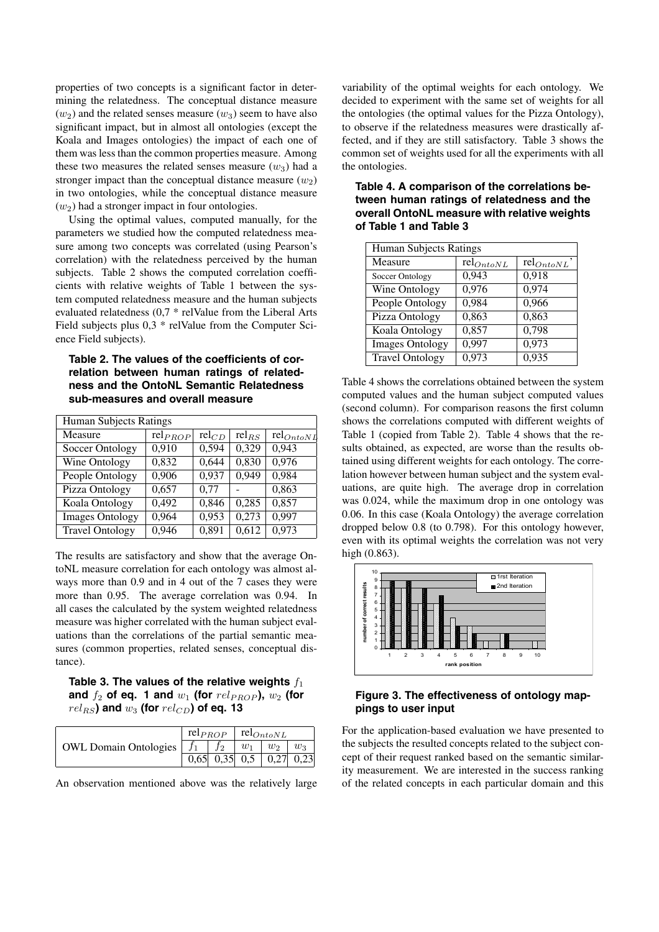properties of two concepts is a significant factor in determining the relatedness. The conceptual distance measure  $(w_2)$  and the related senses measure  $(w_3)$  seem to have also significant impact, but in almost all ontologies (except the Koala and Images ontologies) the impact of each one of them was less than the common properties measure. Among these two measures the related senses measure  $(w_3)$  had a stronger impact than the conceptual distance measure  $(w_2)$ in two ontologies, while the conceptual distance measure  $(w<sub>2</sub>)$  had a stronger impact in four ontologies.

Using the optimal values, computed manually, for the parameters we studied how the computed relatedness measure among two concepts was correlated (using Pearson's correlation) with the relatedness perceived by the human subjects. Table 2 shows the computed correlation coefficients with relative weights of Table 1 between the system computed relatedness measure and the human subjects evaluated relatedness (0,7 \* relValue from the Liberal Arts Field subjects plus 0,3 \* relValue from the Computer Science Field subjects).

## **Table 2. The values of the coefficients of correlation between human ratings of relatedness and the OntoNL Semantic Relatedness sub-measures and overall measure**

| <b>Human Subjects Ratings</b>      |              |            |            |                |
|------------------------------------|--------------|------------|------------|----------------|
| Measure                            | $rel_{PROP}$ | $rel_{CD}$ | $rel_{RS}$ | $rel_{OntoNL}$ |
| Soccer Ontology                    | 0,910        | 0,594      | 0,329      | 0,943          |
| $\overline{\text{W}}$ ine Ontology | 0,832        | 0,644      | 0,830      | 0,976          |
| People Ontology                    | 0,906        | 0,937      | 0,949      | 0,984          |
| Pizza Ontology                     | 0,657        | 0,77       |            | 0,863          |
| Koala Ontology                     | 0,492        | 0,846      | 0,285      | 0,857          |
| <b>Images Ontology</b>             | 0,964        | 0,953      | 0,273      | 0,997          |
| <b>Travel Ontology</b>             | 0,946        | 0,891      | 0,612      | 0,973          |

The results are satisfactory and show that the average OntoNL measure correlation for each ontology was almost always more than 0.9 and in 4 out of the 7 cases they were more than 0.95. The average correlation was 0.94. In all cases the calculated by the system weighted relatedness measure was higher correlated with the human subject evaluations than the correlations of the partial semantic measures (common properties, related senses, conceptual distance).

Table 3. The values of the relative weights  $f_1$ and  $f_2$  of eq. 1 and  $w_1$  (for  $rel_{PROP}$ ),  $w_2$  (for  $rel_{RS}$ ) and  $w_3$  (for  $rel_{CD}$ ) of eq. 13

|                                                                                                  |  |  | $rel_{PROP}$ rel <sub>OntoNL</sub> |             |                                                                                          |
|--------------------------------------------------------------------------------------------------|--|--|------------------------------------|-------------|------------------------------------------------------------------------------------------|
| <b>OWL</b> Domain Ontologies $\begin{array}{ c c c c c } \hline f_1 & f_2 \\ \hline \end{array}$ |  |  | $ w_1 $                            | $w_2$ $w_3$ |                                                                                          |
|                                                                                                  |  |  |                                    |             | $\overline{0,65}$ $\overline{0,35}$ $\overline{0,5}$ $\overline{0,27}$ $\overline{0,23}$ |

An observation mentioned above was the relatively large

variability of the optimal weights for each ontology. We decided to experiment with the same set of weights for all the ontologies (the optimal values for the Pizza Ontology), to observe if the relatedness measures were drastically affected, and if they are still satisfactory. Table 3 shows the common set of weights used for all the experiments with all the ontologies.

| <b>Human Subjects Ratings</b> |                |                |  |
|-------------------------------|----------------|----------------|--|
| Measure                       | $rel_{OntoNL}$ | $rel_{OntoNL}$ |  |
| Soccer Ontology               | 0,943          | 0,918          |  |
| Wine Ontology                 | 0,976          | 0,974          |  |
| People Ontology               | 0,984          | 0,966          |  |
| Pizza Ontology                | 0,863          | 0,863          |  |
| Koala Ontology                | 0,857          | 0,798          |  |
| <b>Images Ontology</b>        | 0,997          | 0,973          |  |
| <b>Travel Ontology</b>        | 0,973          | 0,935          |  |

## **Table 4. A comparison of the correlations between human ratings of relatedness and the overall OntoNL measure with relative weights of Table 1 and Table 3**

Table 4 shows the correlations obtained between the system computed values and the human subject computed values (second column). For comparison reasons the first column shows the correlations computed with different weights of Table 1 (copied from Table 2). Table 4 shows that the results obtained, as expected, are worse than the results obtained using different weights for each ontology. The correlation however between human subject and the system evaluations, are quite high. The average drop in correlation was 0.024, while the maximum drop in one ontology was 0.06. In this case (Koala Ontology) the average correlation dropped below 0.8 (to 0.798). For this ontology however, even with its optimal weights the correlation was not very high (0.863).



#### **Figure 3. The effectiveness of ontology mappings to user input**

For the application-based evaluation we have presented to the subjects the resulted concepts related to the subject concept of their request ranked based on the semantic similarity measurement. We are interested in the success ranking of the related concepts in each particular domain and this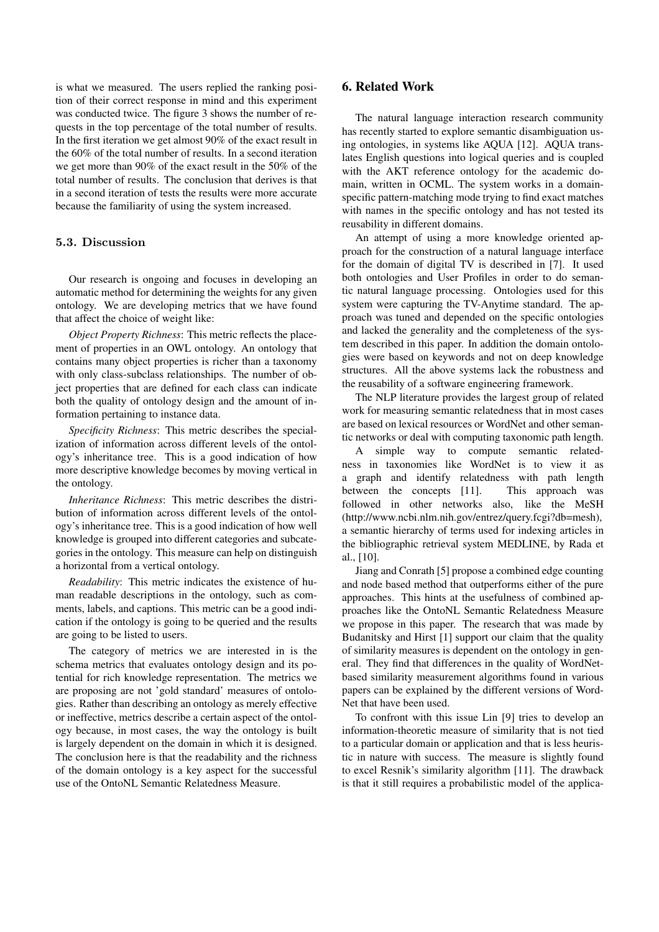is what we measured. The users replied the ranking position of their correct response in mind and this experiment was conducted twice. The figure 3 shows the number of requests in the top percentage of the total number of results. In the first iteration we get almost 90% of the exact result in the 60% of the total number of results. In a second iteration we get more than 90% of the exact result in the 50% of the total number of results. The conclusion that derives is that in a second iteration of tests the results were more accurate because the familiarity of using the system increased.

### **5.3. Discussion**

Our research is ongoing and focuses in developing an automatic method for determining the weights for any given ontology. We are developing metrics that we have found that affect the choice of weight like:

*Object Property Richness*: This metric reflects the placement of properties in an OWL ontology. An ontology that contains many object properties is richer than a taxonomy with only class-subclass relationships. The number of object properties that are defined for each class can indicate both the quality of ontology design and the amount of information pertaining to instance data.

*Specificity Richness*: This metric describes the specialization of information across different levels of the ontology's inheritance tree. This is a good indication of how more descriptive knowledge becomes by moving vertical in the ontology.

*Inheritance Richness*: This metric describes the distribution of information across different levels of the ontology's inheritance tree. This is a good indication of how well knowledge is grouped into different categories and subcategories in the ontology. This measure can help on distinguish a horizontal from a vertical ontology.

*Readability*: This metric indicates the existence of human readable descriptions in the ontology, such as comments, labels, and captions. This metric can be a good indication if the ontology is going to be queried and the results are going to be listed to users.

The category of metrics we are interested in is the schema metrics that evaluates ontology design and its potential for rich knowledge representation. The metrics we are proposing are not 'gold standard' measures of ontologies. Rather than describing an ontology as merely effective or ineffective, metrics describe a certain aspect of the ontology because, in most cases, the way the ontology is built is largely dependent on the domain in which it is designed. The conclusion here is that the readability and the richness of the domain ontology is a key aspect for the successful use of the OntoNL Semantic Relatedness Measure.

## **6. Related Work**

The natural language interaction research community has recently started to explore semantic disambiguation using ontologies, in systems like AQUA [12]. AQUA translates English questions into logical queries and is coupled with the AKT reference ontology for the academic domain, written in OCML. The system works in a domainspecific pattern-matching mode trying to find exact matches with names in the specific ontology and has not tested its reusability in different domains.

An attempt of using a more knowledge oriented approach for the construction of a natural language interface for the domain of digital TV is described in [7]. It used both ontologies and User Profiles in order to do semantic natural language processing. Ontologies used for this system were capturing the TV-Anytime standard. The approach was tuned and depended on the specific ontologies and lacked the generality and the completeness of the system described in this paper. In addition the domain ontologies were based on keywords and not on deep knowledge structures. All the above systems lack the robustness and the reusability of a software engineering framework.

The NLP literature provides the largest group of related work for measuring semantic relatedness that in most cases are based on lexical resources or WordNet and other semantic networks or deal with computing taxonomic path length.

A simple way to compute semantic relatedness in taxonomies like WordNet is to view it as a graph and identify relatedness with path length between the concepts [11]. This approach was followed in other networks also, like the MeSH (http://www.ncbi.nlm.nih.gov/entrez/query.fcgi?db=mesh), a semantic hierarchy of terms used for indexing articles in the bibliographic retrieval system MEDLINE, by Rada et al., [10].

Jiang and Conrath [5] propose a combined edge counting and node based method that outperforms either of the pure approaches. This hints at the usefulness of combined approaches like the OntoNL Semantic Relatedness Measure we propose in this paper. The research that was made by Budanitsky and Hirst [1] support our claim that the quality of similarity measures is dependent on the ontology in general. They find that differences in the quality of WordNetbased similarity measurement algorithms found in various papers can be explained by the different versions of Word-Net that have been used.

To confront with this issue Lin [9] tries to develop an information-theoretic measure of similarity that is not tied to a particular domain or application and that is less heuristic in nature with success. The measure is slightly found to excel Resnik's similarity algorithm [11]. The drawback is that it still requires a probabilistic model of the applica